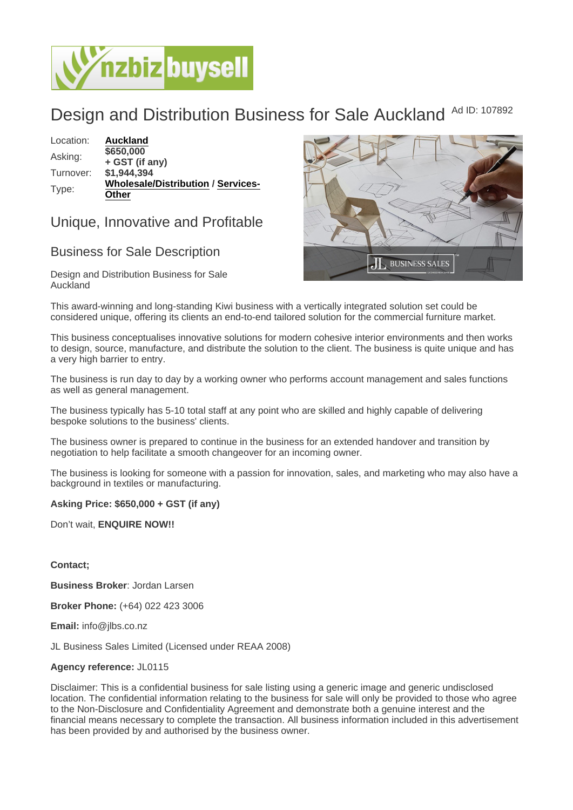## Design and Distribution Business for Sale Auckland Ad ID: 107892

Location: [Auckland](https://www.nzbizbuysell.co.nz/businesses-for-sale/location/Auckland) Asking: \$650,000 + GST (if any) Turnover: \$1,944,394 Type: [Wholesale/Distribution](https://www.nzbizbuysell.co.nz/businesses-for-sale/Wholesale--Distribution/New-Zealand) / [Services-](https://www.nzbizbuysell.co.nz/businesses-for-sale/Services/New-Zealand)**[Other](https://www.nzbizbuysell.co.nz/businesses-for-sale/Services/New-Zealand)** 

## Unique, Innovative and Profitable

## Business for Sale Description

Design and Distribution Business for Sale Auckland

This award-winning and long-standing Kiwi business with a vertically integrated solution set could be considered unique, offering its clients an end-to-end tailored solution for the commercial furniture market.

This business conceptualises innovative solutions for modern cohesive interior environments and then works to design, source, manufacture, and distribute the solution to the client. The business is quite unique and has a very high barrier to entry.

The business is run day to day by a working owner who performs account management and sales functions as well as general management.

The business typically has 5-10 total staff at any point who are skilled and highly capable of delivering bespoke solutions to the business' clients.

The business owner is prepared to continue in the business for an extended handover and transition by negotiation to help facilitate a smooth changeover for an incoming owner.

The business is looking for someone with a passion for innovation, sales, and marketing who may also have a background in textiles or manufacturing.

Asking Price: \$650,000 + GST (if any)

Don't wait, ENQUIRE NOW!!

Contact;

Business Broker : Jordan Larsen

Broker Phone: (+64) 022 423 3006

Email: info@jlbs.co.nz

JL Business Sales Limited (Licensed under REAA 2008)

Agency reference: JL0115

Disclaimer: This is a confidential business for sale listing using a generic image and generic undisclosed location. The confidential information relating to the business for sale will only be provided to those who agree to the Non-Disclosure and Confidentiality Agreement and demonstrate both a genuine interest and the financial means necessary to complete the transaction. All business information included in this advertisement has been provided by and authorised by the business owner.